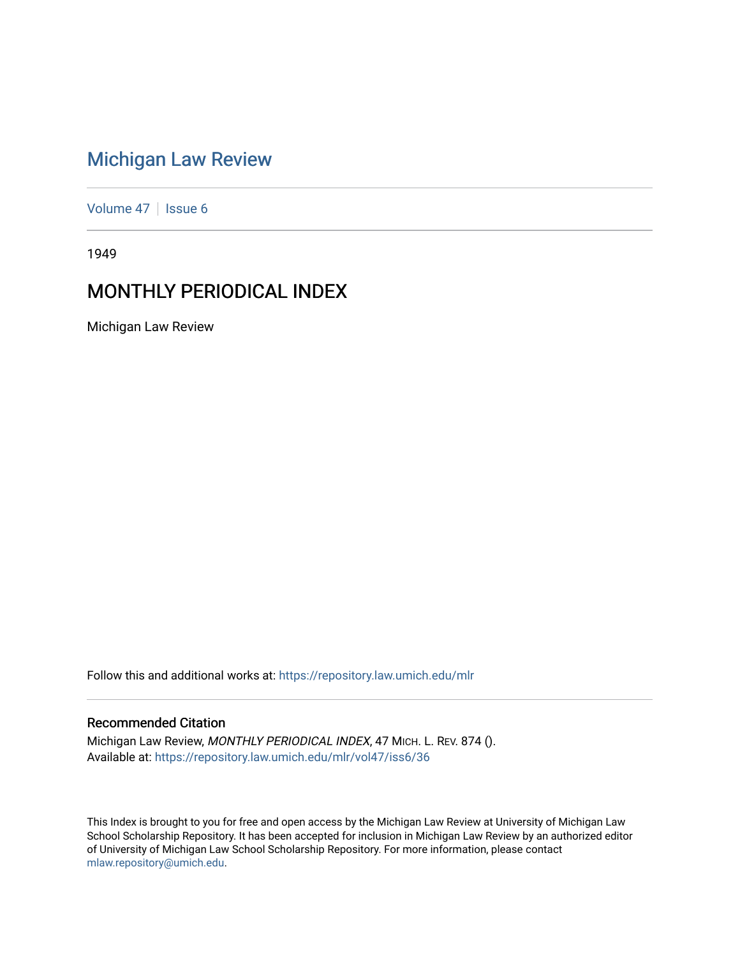# [Michigan Law Review](https://repository.law.umich.edu/mlr)

[Volume 47](https://repository.law.umich.edu/mlr/vol47) | [Issue 6](https://repository.law.umich.edu/mlr/vol47/iss6)

1949

# MONTHLY PERIODICAL INDEX

Michigan Law Review

Follow this and additional works at: [https://repository.law.umich.edu/mlr](https://repository.law.umich.edu/mlr?utm_source=repository.law.umich.edu%2Fmlr%2Fvol47%2Fiss6%2F36&utm_medium=PDF&utm_campaign=PDFCoverPages) 

# Recommended Citation

Michigan Law Review, MONTHLY PERIODICAL INDEX, 47 MICH. L. REV. 874 (). Available at: [https://repository.law.umich.edu/mlr/vol47/iss6/36](https://repository.law.umich.edu/mlr/vol47/iss6/36?utm_source=repository.law.umich.edu%2Fmlr%2Fvol47%2Fiss6%2F36&utm_medium=PDF&utm_campaign=PDFCoverPages) 

This Index is brought to you for free and open access by the Michigan Law Review at University of Michigan Law School Scholarship Repository. It has been accepted for inclusion in Michigan Law Review by an authorized editor of University of Michigan Law School Scholarship Repository. For more information, please contact [mlaw.repository@umich.edu.](mailto:mlaw.repository@umich.edu)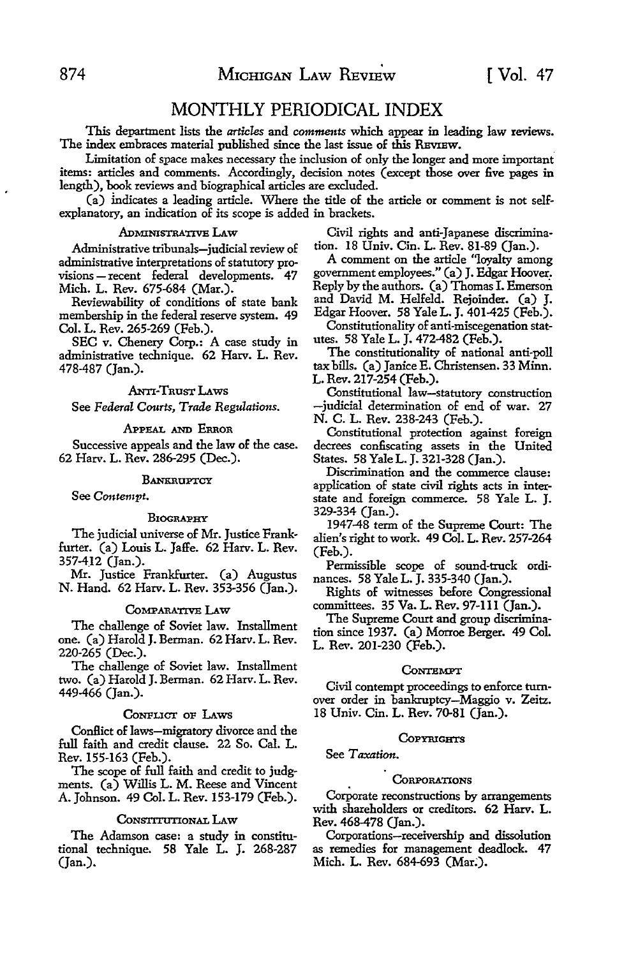# MONTHLY PERIODICAL INDEX

This department lists the *articles* and *comments* which appear in leading law reviews. The index embraces material published since the last issue of this REVIEW.

Limitation of space makes necessary the inclusion of only the longer and more important. items: articles and comments. Accordingly, decision notes (except those over five pages in length), book reviews and biographical articles are excluded.

(a) indicates a leading article. Where the title of the article or comment is not selfexplanatory, an indication of its scope is added in brackets.

Administrative tribunals-judicial review of tion. 18 Univ. Cin. L. Rev. 81-89 (Jan.). administrative interpretations of statutory provisions - recent federal developments. 47 government employees." (a) J. Edgar Hoover. Mich. L. Rev. 675-684 (Mar.). Reply by the authors. (a) Thomas I. Emerson

membership in the federal reserve system. 49 Edgar Hoover. 58 Yale L. J. 401-425 (Feb.).

SEC v. Chenery Corp.: A case study in utes. 58 Yale L. J. 472-482 (Feb.).<br>ministrative technique, 62 Hary, L. Rey. The constitutionality of national anti-poll administrative technique. 62 Harv. L. Rev.

ANTI-TRUST LAWS

See *Federal Courts, Trade Regulations.* 

#### APPEAL AND ERROR

Successive appeals and the law of the case. 62 Harv. L. Rev. 286-295 (Dec.).

#### **BANKRUPTCY**

See *Contempt.* 

#### BIOGRAPHY

The judicial universe of Mr. Justice Frankfurter. (a) Louis L. Jaffe. 62 Harv. L. Rev. 357-412 (Jan.).

Mr. Justice Frankfurter. (a) Augustus N. Hand. 62 Harv. L. Rev. 353-356 (Jan.).

#### CoMPARATIVE LAw

The challenge of Soviet law. Installment one. (a) Harold **J.** Berman. 62 Harv. L. Rev. 220-265 (Dec.).

The challenge of Soviet law. Installment two. (a) Harold J. Berman. 62 Harv. L. Rev. 449-466 (Jan.).

#### CoNFLICT oF LAws

Conflict of laws-migratory divorce and the full faith and credit clause. 22 So. Cal. L. Rev. 155-163 (Feb.).

The scope of full faith and credit to judgments. (a) Willis L. M. Reese and Vincent A. Johnson. 49 Col. L. Rev. 153-179 (Feb.).

#### CoNSTITUTIONAL LAw

The Adamson case: a study in constitutional technique. 58 Yale L. J. 268-287 (Jan.).

ADMINISTRATIVE LAW Civil rights and anti-Japanese discrimina-<br>trative tribunals—indicial review of tion. 18 Univ. Cin. L. Rev. 81-89 (Jan.).

Reviewability of conditions of state bank and David M. Helfeld. Rejoinder. (a) J.

Col. L. Rev. 265-269 (Feb.). Constitutionality of anti-miscegenation stat-<br>SEC v. Chenery Corp.: A case study in utes. 58 Yale L. J. 472-482 (Feb.).

478-487 (Jan.). tax bills. (a) Janice E. Christensen. 33 **Minn.**  L. Rev. 217-254 (Feb.).

Constitutional law-statutory construction -judicial determination of end of war. 27 N. C. L. Rev. 238-243 (Feb.).

Constitutional protection against foreign decrees confiscating assets in the United States. 58 Yale L. J. 321-328 (Jan.).

Discrimination and the commerce clause: application of state civil rights acts in interstate and foreign commerce. 58 Yale L. J. 329-334 (Jan.).

1947-48 term of the Supreme Court: The alien's right to work. 49 Col. L. Rev. 257-264 (Feb.).

Permissible scope of sound-truck ordinances. 58 Yale L. J. 335-340 (Jan.).

Rights of witnesses before Congressional committees. 35 Va. L. Rev. 97-111 (Jan.).

The Supreme Court and group discrimination since 1937. (a) Morroe Berger. 49 Col. L. Rev. 201-230 (Feb.).

#### **CONTEMPT**

Civil contempt proceedings to enforce turnover order in bankruptcy-Maggio v. Zeitz. 18 Univ. Cin. L. Rev. 70-81 (Jan.).

#### **COPYRIGHTS**

See Taxation.

#### **CORPORATIONS**

Corporate reconstructions by arrangements with shareholders or creditors. 62 Harv. L. Rev. 468-478 (Jan.).

Corporations-receivership and dissolution as remedies for management deadlock. 47 Mich. L. Rev. 684-693 (Mar:).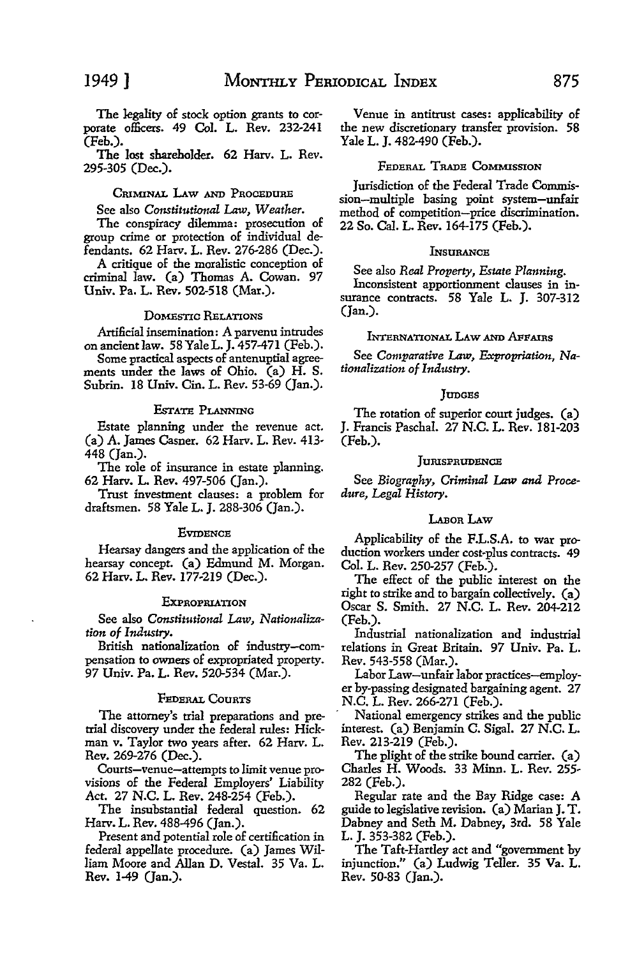The legality of stock option grants to corporate officers. 49 Col. L. Rev. 232-241 (Feb.).

The lost shareholder. 62 Harv. L. Rev. 295-305 (Dec.).

### CRIMINAL LAW AND PROCEDURE

See also *Constitutional* Law, *Weather.* 

The conspiracy dilemma: prosecution of group crime or protection of individual defendants. 62 Harv. L. Rev. 276-286 (Dec.).

A critique of the moralistic conception of criminal law. (a) Thomas A. Cowan. 97 Univ. Pa. L. Rev. 502-518 (Mar.).

#### DOMESTIC RELATIONS

Artificial insemination: A parvenu intrudes on ancientlaw. 58 YaleL. J. 457-471 (Feb.).

Some practical aspects of antenuptial agreements under the laws of Ohio. (a) H. S. Subrin. 18 Univ. Cin. L. Rev. 53-69 (Jan.).

#### EsTATE PLANNING

Estate planning under the revenue act. (a) A. James Casner. 62 Harv. L. Rev. 413- 448 (Jan.).

The role of insurance in estate planning. 62 Harv. L. Rev. 497-506 (Jan.).

Trust investment clauses: a problem for draftsmen. 58 Yale L. J. 288-306 (Jan.).

#### **EVIDENCE**

Hearsay dangers and the application of the hearsay concept. (a) Edmund M. Morgan. 62 Harv. L. Rev. 177-219 (Dec.).

#### **EXPROPRIATION**

See also *Constitutional Law, Nationalization of Industry.* 

British nationalization of industry-compensation to owners of expropriated property. 97 Univ. Pa. L. Rev. 520-534 (Mar.).

#### FEDERAL COURTS

The attorney's trial preparations and pretrial discovery under the federal rules: Hickman v. Taylor two years after. 62 Harv. L. Rev. 269-276 (Dec.).

Courts-venue-attempts to limit venue provisions of the Federal Employers' Liability *Act.* 27 N.C. L. Rev. 248-254 (Feb.).

The insubstantial federal question. 62 Harv. L. Rev. 488-496 (Jan.).

Present and potential role of certification in federal appellate procedure. (a) James William Moore and Allan D. Vestal. 35 Va. L. Rev. 1-49 (Jan.).

Venue in antitrust cases: applicability of the new discretionary transfer provision. 58 Yale L. J. 482-490 (Feb.).

### FEDERAL TRADE CoMMISSION

Jurisdiction of the Federal Trade Commission-multiple basing point system-unfair method of competition-price discrimination. 22 So. Cal. L. Rev. 164-175 (Feb.).

#### **INSURANCE**

See also *Real Property, Estate Planning.* 

Inconsistent apportionment clauses in insurance contracts. 58 Yale L. J. 307-312 (Jan.).

# INTERNATIONAL LAW AND AFFAIRS

See Comparative Law, *Expropriation*, Na*tionalization of Industry.* 

#### **JUDGES**

The rotation of superior court judges. (a) J. Francis Paschal. 27 N.C. L. Rev. 181-203 (Feb.).

#### JURISPRUDENCE

See *Biography, Criminal* Law *and Procedure, Legal History.* 

#### LABOR LAW

Applicability of the F.L.S.A. to war production workers under cost-plus contracts. 49 Col. L. Rev. 250-257 (Feb.).

The effect of the public interest on the right to strike and to bargain collectively. (a) Oscar S. Smith. 27 N.C. L. Rev. 204-212 (Feb.).

Industrial nationalization and industrial relations in Great Britain. 97 Univ. Pa. L. Rev. 543-558 (Mar.).

Labor Law-unfair labor practices-employer by-passing designated bargaining agent. 27 N.C. L. Rev. 266-271 (Feb.).

National emergency strikes and the public interest. (a) Benjamin C. Sigal. 27 N.C. L. Rev. 213-219 (Feb.).

The plight of the strike bound carrier. (a) Charles H. Woods. 33 Minn. L. Rev. 255- 282 (Feb.).

Regular rate and the Bay Ridge case: A guide to legislative revision. (a) Marian J. T. Dabney and Seth M. Dabney, 3rd. 58 Yale L. J. 353-382 (Feb.).

The Taft-Hartley act and "government by injunction." (a) Ludwig Teller. 35 Va. L. Rev. 50-83 (Jan.).